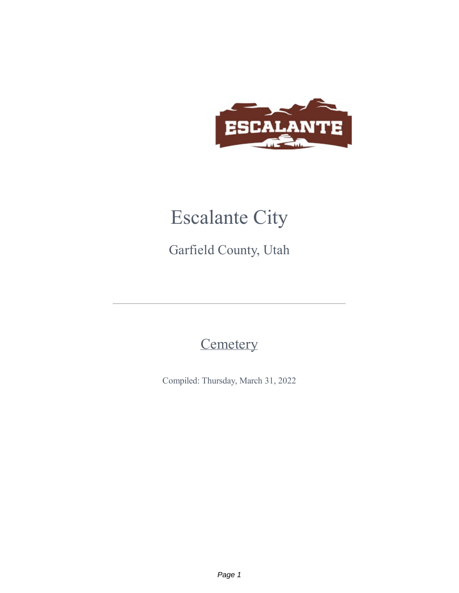

# Escalante City

Garfield County, Utah

## **Cemetery**

Compiled: Thursday, March 31, 2022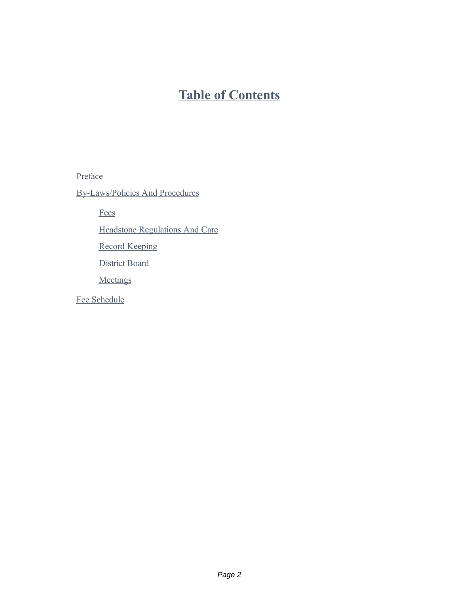### **Table of Contents**

Preface

By-Laws/Policies And Procedures

Fees

Headstone Regulations And Care

Record Keeping

District Board

**Meetings** 

Fee Schedule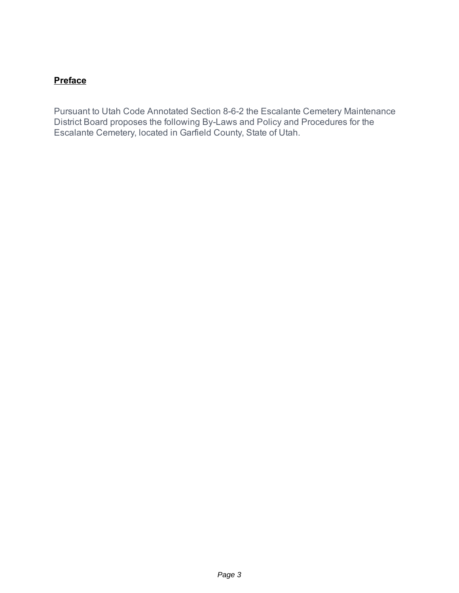#### **[Preface](https://escalante.municipalcodeonline.com/book?type=cemetery#name=Preface)**

Pursuant to Utah Code Annotated Section 8-6-2 the Escalante Cemetery Maintenance District Board proposes the following By-Laws and Policy and Procedures for the Escalante Cemetery, located in Garfield County, State of Utah.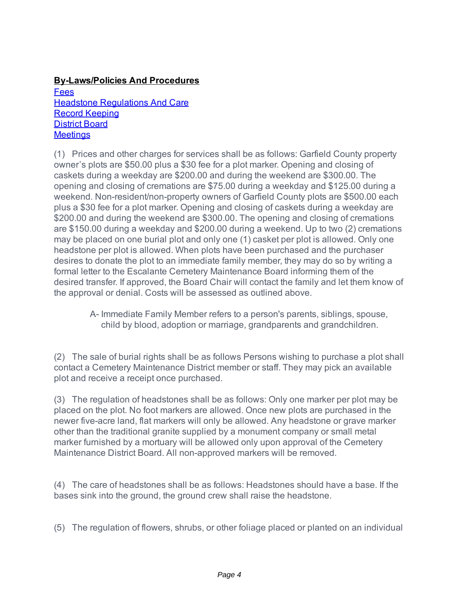**[By-Laws/Policies](https://escalante.municipalcodeonline.com/book?type=cemetery#name=By-Laws/Policies_And_Procedures) And Procedures**

[Fees](https://escalante.municipalcodeonline.com/book?type=cemetery#name=Fees) Headstone [Regulations](https://escalante.municipalcodeonline.com/book?type=cemetery#name=Headstone_Regulations_And_Care) And Care Record [Keeping](https://escalante.municipalcodeonline.com/book?type=cemetery#name=Record_Keeping) [District](https://escalante.municipalcodeonline.com/book?type=cemetery#name=District_Board) Board **[Meetings](https://escalante.municipalcodeonline.com/book?type=cemetery#name=Meetings)** 

(1) Prices and other charges for services shall be as follows: Garfield County property owner's plots are \$50.00 plus a \$30 fee for a plot marker. Opening and closing of caskets during a weekday are \$200.00 and during the weekend are \$300.00. The opening and closing of cremations are \$75.00 during a weekday and \$125.00 during a weekend. Non-resident/non-property owners of Garfield County plots are \$500.00 each plus a \$30 fee for a plot marker. Opening and closing of caskets during a weekday are \$200.00 and during the weekend are \$300.00. The opening and closing of cremations are \$150.00 during a weekday and \$200.00 during a weekend. Up to two (2) cremations may be placed on one burial plot and only one (1) casket per plot is allowed. Only one headstone per plot is allowed. When plots have been purchased and the purchaser desires to donate the plot to an immediate family member, they may do so by writing a formal letter to the Escalante Cemetery Maintenance Board informing them of the desired transfer. If approved, the Board Chair will contact the family and let them know of the approval or denial. Costs will be assessed as outlined above.

> A- Immediate Family Member refers to a person's parents, siblings, spouse, child by blood, adoption or marriage, grandparents and grandchildren.

(2) The sale of burial rights shall be as follows Persons wishing to purchase a plot shall contact a Cemetery Maintenance District member or staff. They may pick an available plot and receive a receipt once purchased.

(3) The regulation of headstones shall be as follows: Only one marker per plot may be placed on the plot. No foot markers are allowed. Once new plots are purchased in the newer five-acre land, flat markers will only be allowed. Any headstone or grave marker other than the traditional granite supplied by a monument company or small metal marker furnished by a mortuary will be allowed only upon approval of the Cemetery Maintenance District Board. All non-approved markers will be removed.

(4) The care of headstones shall be as follows: Headstones should have a base. If the bases sink into the ground, the ground crew shall raise the headstone.

(5) The regulation of flowers, shrubs, or other foliage placed or planted on an individual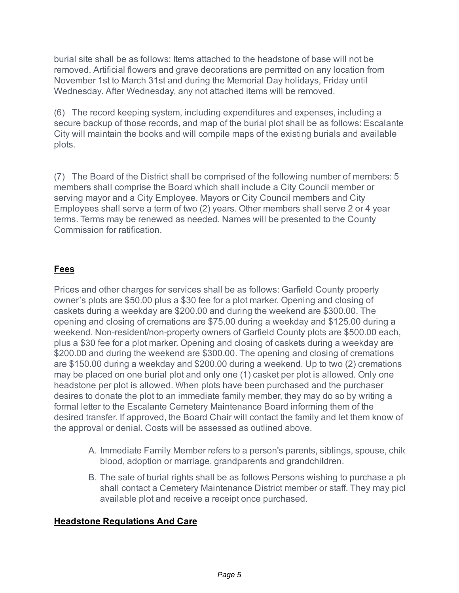burial site shall be as follows: Items attached to the headstone of base will not be removed. Artificial flowers and grave decorations are permitted on any location from November 1st to March 31st and during the Memorial Day holidays, Friday until Wednesday. After Wednesday, any not attached items will be removed.

(6) The record keeping system, including expenditures and expenses, including a secure backup of those records, and map of the burial plot shall be as follows: Escalante City will maintain the books and will compile maps of the existing burials and available plots.

(7) The Board of the District shall be comprised of the following number of members: 5 members shall comprise the Board which shall include a City Council member or serving mayor and a City Employee. Mayors or City Council members and City Employees shall serve a term of two (2) years. Other members shall serve 2 or 4 year terms. Terms may be renewed as needed. Names will be presented to the County Commission for ratification.

#### **[Fees](https://escalante.municipalcodeonline.com/book?type=cemetery#name=Fees)**

Prices and other charges for services shall be as follows: Garfield County property owner's plots are \$50.00 plus a \$30 fee for a plot marker. Opening and closing of caskets during a weekday are \$200.00 and during the weekend are \$300.00. The opening and closing of cremations are \$75.00 during a weekday and \$125.00 during a weekend. Non-resident/non-property owners of Garfield County plots are \$500.00 each, plus a \$30 fee for a plot marker. Opening and closing of caskets during a weekday are \$200.00 and during the weekend are \$300.00. The opening and closing of cremations are \$150.00 during a weekday and \$200.00 during a weekend. Up to two (2) cremations may be placed on one burial plot and only one (1) casket per plot is allowed. Only one headstone per plot is allowed. When plots have been purchased and the purchaser desires to donate the plot to an immediate family member, they may do so by writing a formal letter to the Escalante Cemetery Maintenance Board informing them of the desired transfer. If approved, the Board Chair will contact the family and let them know of the approval or denial. Costs will be assessed as outlined above.

- A. Immediate Family Member refers to a person's parents, siblings, spouse, child blood, adoption or marriage, grandparents and grandchildren.
- B. The sale of burial rights shall be as follows Persons wishing to purchase a plot shall contact a Cemetery Maintenance District member or staff. They may picl available plot and receive a receipt once purchased.

#### **Headstone [Regulations](https://escalante.municipalcodeonline.com/book?type=cemetery#name=Headstone_Regulations_And_Care) And Care**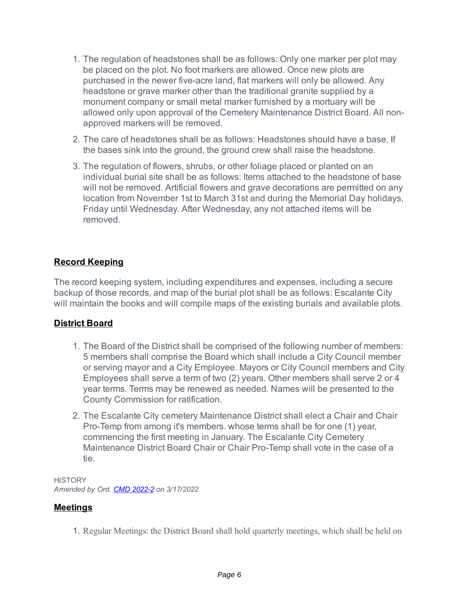- 1. The regulation of headstones shall be as follows: Only one marker per plot may be placed on the plot. No foot markers are allowed. Once new plots are purchased in the newer five-acre land, flat markers will only be allowed. Any headstone or grave marker other than the traditional granite supplied by a monument company or small metal marker furnished by a mortuary will be allowed only upon approval of the Cemetery Maintenance District Board. All nonapproved markers will be removed.
- 2. The care of headstones shall be as follows: Headstones should have a base. If the bases sink into the ground, the ground crew shall raise the headstone.
- 3. The regulation of flowers, shrubs, or other foliage placed or planted on an individual burial site shall be as follows: Items attached to the headstone of base will not be removed. Artificial flowers and grave decorations are permitted on any location from November 1st to March 31st and during the Memorial Day holidays, Friday until Wednesday. After Wednesday, any not attached items will be removed.

#### **Record [Keeping](https://escalante.municipalcodeonline.com/book?type=cemetery#name=Record_Keeping)**

The record keeping system, including expenditures and expenses, including a secure backup of those records, and map of the burial plot shall be as follows: Escalante City will maintain the books and will compile maps of the existing burials and available plots.

#### **[District](https://escalante.municipalcodeonline.com/book?type=cemetery#name=District_Board) Board**

- 1. The Board of the District shall be comprised of the following number of members: 5 members shall comprise the Board which shall include a City Council member or serving mayor and a City Employee. Mayors or City Council members and City Employees shall serve a term of two (2) years. Other members shall serve 2 or 4 year terms. Terms may be renewed as needed. Names will be presented to the County Commission for ratification.
- 2. The Escalante City cemetery Maintenance District shall elect a Chair and Chair Pro-Temp from among it's members. whose terms shall be for one (1) year, commencing the first meeting in January. The Escalante City Cemetery Maintenance District Board Chair or Chair Pro-Temp shall vote in the case of a tie.

**HISTORY** *Amended by Ord. CMD [2022-2](https://s3-us-west-2.amazonaws.com/municipalcodeonline.com-new/escalante/cemetery/pdf/Ord_CMD 2022-2.pdf) on 3/17/2022*

#### **[Meetings](https://escalante.municipalcodeonline.com/book?type=cemetery#name=Meetings)**

1. Regular Meetings: the District Board shall hold quarterly meetings, which shall be held on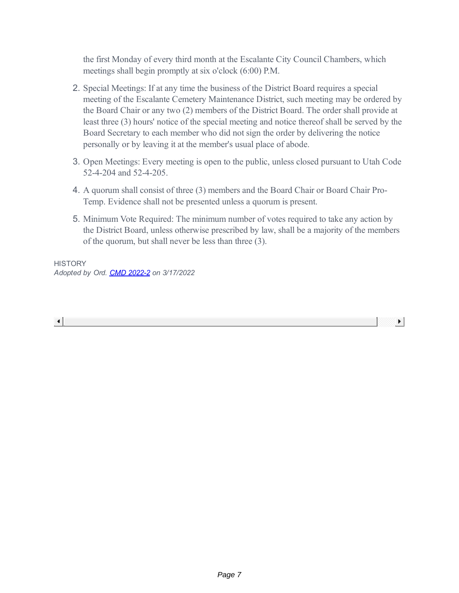the first Monday of every third month at the Escalante City Council Chambers, which meetings shall begin promptly at six o'clock (6:00) P.M.

- 2. Special Meetings: If at any time the business of the District Board requires a special meeting of the Escalante Cemetery Maintenance District, such meeting may be ordered by the Board Chair or any two (2) members of the District Board. The order shall provide at least three (3) hours' notice of the special meeting and notice thereof shall be served by the Board Secretary to each member who did not sign the order by delivering the notice personally or by leaving it at the member's usual place of abode.
- 3. Open Meetings: Every meeting is open to the public, unless closed pursuant to Utah Code 52-4-204 and 52-4-205.
- 4. A quorum shall consist of three (3) members and the Board Chair or Board Chair Pro-Temp. Evidence shall not be presented unless a quorum is present.
- 5. Minimum Vote Required: The minimum number of votes required to take any action by the District Board, unless otherwise prescribed by law, shall be a majority of the members of the quorum, but shall never be less than three (3).

 $\blacktriangleright$ 

**HISTORY** *Adopted by Ord. CMD [2022-2](https://s3-us-west-2.amazonaws.com/municipalcodeonline.com-new/escalante/cemetery/pdf/Ord_CMD 2022-2.pdf) on 3/17/2022*

 $\left| \cdot \right|$